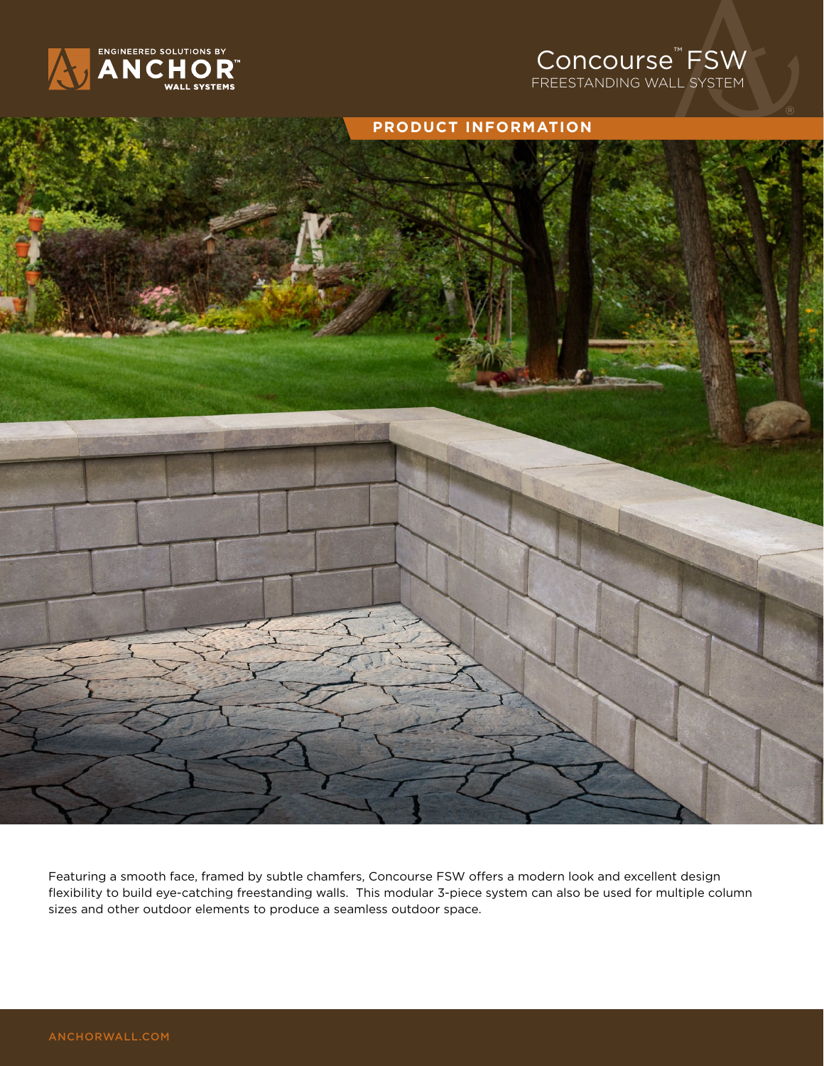

## rse $\degree$ FSW Concourse™ FSW

REESTANDING WALL SYSTEM FREESTANDING WALL SYSTEM



Featuring a smooth face, framed by subtle chamfers, Concourse FSW offers a modern look and excellent design flexibility to build eye-catching freestanding walls. This modular 3-piece system can also be used for multiple column sizes and other outdoor elements to produce a seamless outdoor space.